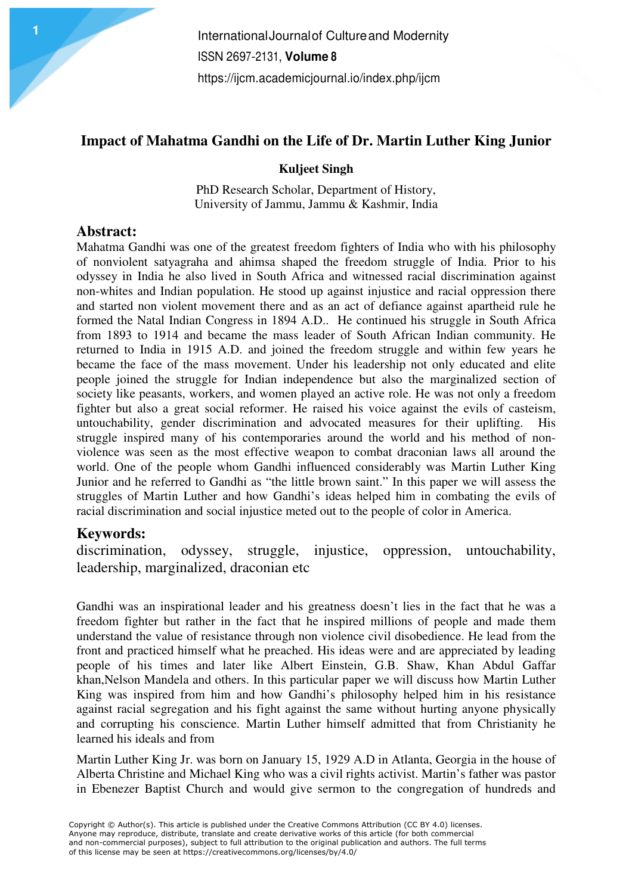## **Impact of Mahatma Gandhi on the Life of Dr. Martin Luther King Junior**

**Kuljeet Singh** 

PhD Research Scholar, Department of History, University of Jammu, Jammu & Kashmir, India

### **Abstract:**

Mahatma Gandhi was one of the greatest freedom fighters of India who with his philosophy of nonviolent satyagraha and ahimsa shaped the freedom struggle of India. Prior to his odyssey in India he also lived in South Africa and witnessed racial discrimination against non-whites and Indian population. He stood up against injustice and racial oppression there and started non violent movement there and as an act of defiance against apartheid rule he formed the Natal Indian Congress in 1894 A.D.. He continued his struggle in South Africa from 1893 to 1914 and became the mass leader of South African Indian community. He returned to India in 1915 A.D. and joined the freedom struggle and within few years he became the face of the mass movement. Under his leadership not only educated and elite people joined the struggle for Indian independence but also the marginalized section of society like peasants, workers, and women played an active role. He was not only a freedom fighter but also a great social reformer. He raised his voice against the evils of casteism, untouchability, gender discrimination and advocated measures for their uplifting. His struggle inspired many of his contemporaries around the world and his method of nonviolence was seen as the most effective weapon to combat draconian laws all around the world. One of the people whom Gandhi influenced considerably was Martin Luther King Junior and he referred to Gandhi as "the little brown saint." In this paper we will assess the struggles of Martin Luther and how Gandhi's ideas helped him in combating the evils of racial discrimination and social injustice meted out to the people of color in America.

### **Keywords:**

discrimination, odyssey, struggle, injustice, oppression, untouchability, leadership, marginalized, draconian etc

Gandhi was an inspirational leader and his greatness doesn't lies in the fact that he was a freedom fighter but rather in the fact that he inspired millions of people and made them understand the value of resistance through non violence civil disobedience. He lead from the front and practiced himself what he preached. His ideas were and are appreciated by leading people of his times and later like Albert Einstein, G.B. Shaw, Khan Abdul Gaffar khan,Nelson Mandela and others. In this particular paper we will discuss how Martin Luther King was inspired from him and how Gandhi's philosophy helped him in his resistance against racial segregation and his fight against the same without hurting anyone physically and corrupting his conscience. Martin Luther himself admitted that from Christianity he learned his ideals and from

Martin Luther King Jr. was born on January 15, 1929 A.D in Atlanta, Georgia in the house of Alberta Christine and Michael King who was a civil rights activist. Martin's father was pastor in Ebenezer Baptist Church and would give sermon to the congregation of hundreds and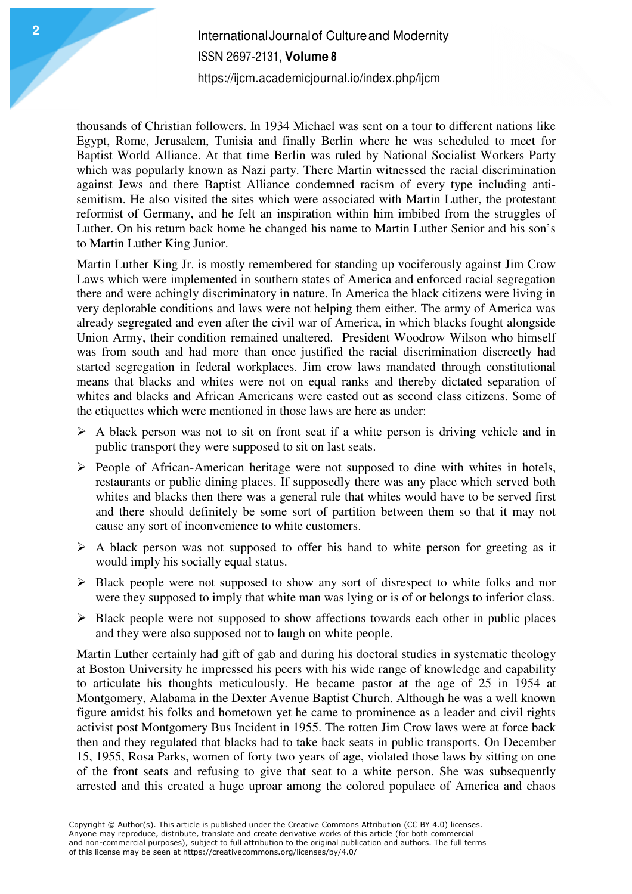# International Journal of Culture and Modernity ISSN 2697-2131, **Volume 8** https://ijcm.academicjournal.io/index.php/ijcm

thousands of Christian followers. In 1934 Michael was sent on a tour to different nations like Egypt, Rome, Jerusalem, Tunisia and finally Berlin where he was scheduled to meet for Baptist World Alliance. At that time Berlin was ruled by National Socialist Workers Party which was popularly known as Nazi party. There Martin witnessed the racial discrimination against Jews and there Baptist Alliance condemned racism of every type including antisemitism. He also visited the sites which were associated with Martin Luther, the protestant reformist of Germany, and he felt an inspiration within him imbibed from the struggles of Luther. On his return back home he changed his name to Martin Luther Senior and his son's to Martin Luther King Junior.

Martin Luther King Jr. is mostly remembered for standing up vociferously against Jim Crow Laws which were implemented in southern states of America and enforced racial segregation there and were achingly discriminatory in nature. In America the black citizens were living in very deplorable conditions and laws were not helping them either. The army of America was already segregated and even after the civil war of America, in which blacks fought alongside Union Army, their condition remained unaltered. President Woodrow Wilson who himself was from south and had more than once justified the racial discrimination discreetly had started segregation in federal workplaces. Jim crow laws mandated through constitutional means that blacks and whites were not on equal ranks and thereby dictated separation of whites and blacks and African Americans were casted out as second class citizens. Some of the etiquettes which were mentioned in those laws are here as under:

- $\triangleright$  A black person was not to sit on front seat if a white person is driving vehicle and in public transport they were supposed to sit on last seats.
- $\triangleright$  People of African-American heritage were not supposed to dine with whites in hotels, restaurants or public dining places. If supposedly there was any place which served both whites and blacks then there was a general rule that whites would have to be served first and there should definitely be some sort of partition between them so that it may not cause any sort of inconvenience to white customers.
- $\triangleright$  A black person was not supposed to offer his hand to white person for greeting as it would imply his socially equal status.
- $\triangleright$  Black people were not supposed to show any sort of disrespect to white folks and nor were they supposed to imply that white man was lying or is of or belongs to inferior class.
- $\triangleright$  Black people were not supposed to show affections towards each other in public places and they were also supposed not to laugh on white people.

Martin Luther certainly had gift of gab and during his doctoral studies in systematic theology at Boston University he impressed his peers with his wide range of knowledge and capability to articulate his thoughts meticulously. He became pastor at the age of 25 in 1954 at Montgomery, Alabama in the Dexter Avenue Baptist Church. Although he was a well known figure amidst his folks and hometown yet he came to prominence as a leader and civil rights activist post Montgomery Bus Incident in 1955. The rotten Jim Crow laws were at force back then and they regulated that blacks had to take back seats in public transports. On December 15, 1955, Rosa Parks, women of forty two years of age, violated those laws by sitting on one of the front seats and refusing to give that seat to a white person. She was subsequently arrested and this created a huge uproar among the colored populace of America and chaos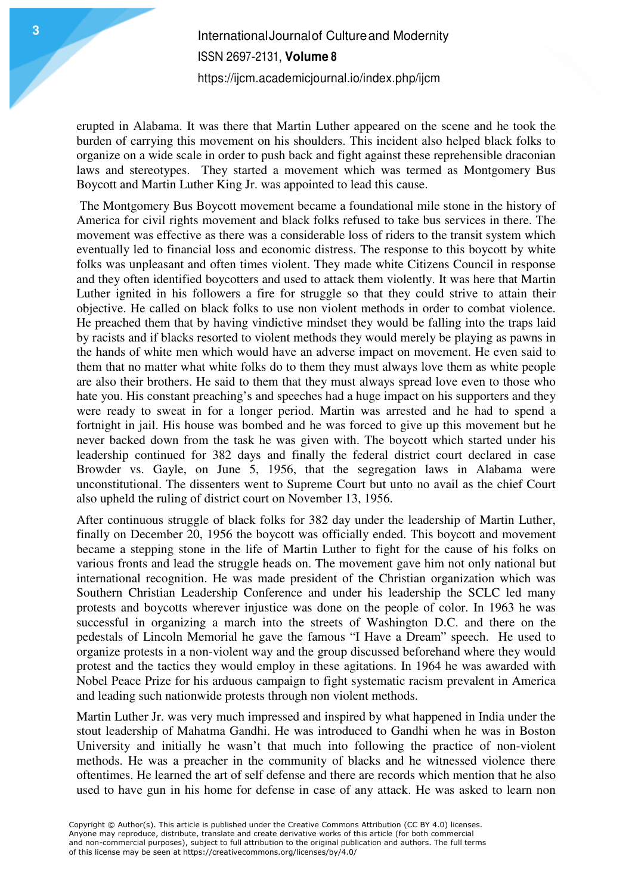erupted in Alabama. It was there that Martin Luther appeared on the scene and he took the burden of carrying this movement on his shoulders. This incident also helped black folks to organize on a wide scale in order to push back and fight against these reprehensible draconian laws and stereotypes. They started a movement which was termed as Montgomery Bus Boycott and Martin Luther King Jr. was appointed to lead this cause.

 The Montgomery Bus Boycott movement became a foundational mile stone in the history of America for civil rights movement and black folks refused to take bus services in there. The movement was effective as there was a considerable loss of riders to the transit system which eventually led to financial loss and economic distress. The response to this boycott by white folks was unpleasant and often times violent. They made white Citizens Council in response and they often identified boycotters and used to attack them violently. It was here that Martin Luther ignited in his followers a fire for struggle so that they could strive to attain their objective. He called on black folks to use non violent methods in order to combat violence. He preached them that by having vindictive mindset they would be falling into the traps laid by racists and if blacks resorted to violent methods they would merely be playing as pawns in the hands of white men which would have an adverse impact on movement. He even said to them that no matter what white folks do to them they must always love them as white people are also their brothers. He said to them that they must always spread love even to those who hate you. His constant preaching's and speeches had a huge impact on his supporters and they were ready to sweat in for a longer period. Martin was arrested and he had to spend a fortnight in jail. His house was bombed and he was forced to give up this movement but he never backed down from the task he was given with. The boycott which started under his leadership continued for 382 days and finally the federal district court declared in case Browder vs. Gayle, on June 5, 1956, that the segregation laws in Alabama were unconstitutional. The dissenters went to Supreme Court but unto no avail as the chief Court also upheld the ruling of district court on November 13, 1956.

After continuous struggle of black folks for 382 day under the leadership of Martin Luther, finally on December 20, 1956 the boycott was officially ended. This boycott and movement became a stepping stone in the life of Martin Luther to fight for the cause of his folks on various fronts and lead the struggle heads on. The movement gave him not only national but international recognition. He was made president of the Christian organization which was Southern Christian Leadership Conference and under his leadership the SCLC led many protests and boycotts wherever injustice was done on the people of color. In 1963 he was successful in organizing a march into the streets of Washington D.C. and there on the pedestals of Lincoln Memorial he gave the famous "I Have a Dream" speech. He used to organize protests in a non-violent way and the group discussed beforehand where they would protest and the tactics they would employ in these agitations. In 1964 he was awarded with Nobel Peace Prize for his arduous campaign to fight systematic racism prevalent in America and leading such nationwide protests through non violent methods.

Martin Luther Jr. was very much impressed and inspired by what happened in India under the stout leadership of Mahatma Gandhi. He was introduced to Gandhi when he was in Boston University and initially he wasn't that much into following the practice of non-violent methods. He was a preacher in the community of blacks and he witnessed violence there oftentimes. He learned the art of self defense and there are records which mention that he also used to have gun in his home for defense in case of any attack. He was asked to learn non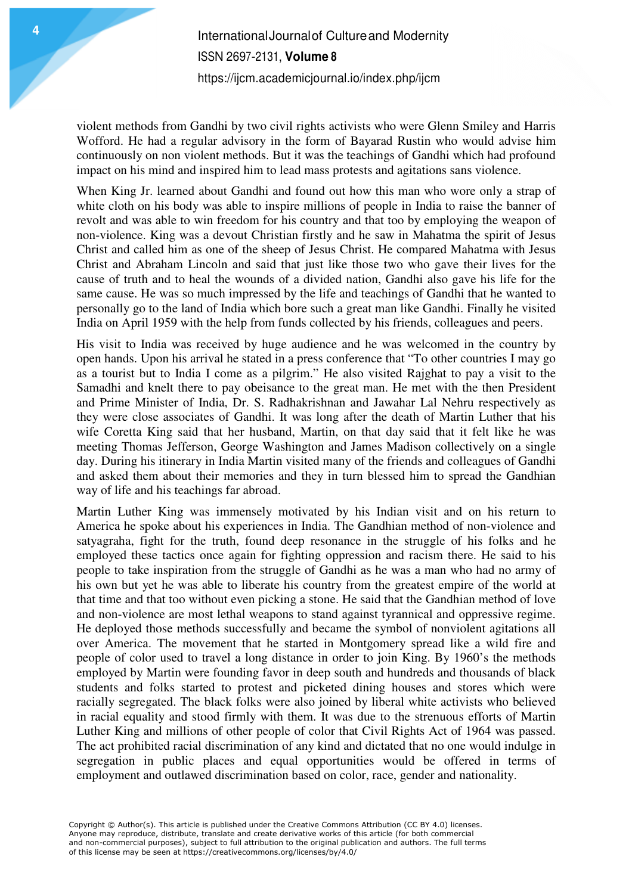violent methods from Gandhi by two civil rights activists who were Glenn Smiley and Harris Wofford. He had a regular advisory in the form of Bayarad Rustin who would advise him continuously on non violent methods. But it was the teachings of Gandhi which had profound impact on his mind and inspired him to lead mass protests and agitations sans violence.

When King Jr. learned about Gandhi and found out how this man who wore only a strap of white cloth on his body was able to inspire millions of people in India to raise the banner of revolt and was able to win freedom for his country and that too by employing the weapon of non-violence. King was a devout Christian firstly and he saw in Mahatma the spirit of Jesus Christ and called him as one of the sheep of Jesus Christ. He compared Mahatma with Jesus Christ and Abraham Lincoln and said that just like those two who gave their lives for the cause of truth and to heal the wounds of a divided nation, Gandhi also gave his life for the same cause. He was so much impressed by the life and teachings of Gandhi that he wanted to personally go to the land of India which bore such a great man like Gandhi. Finally he visited India on April 1959 with the help from funds collected by his friends, colleagues and peers.

His visit to India was received by huge audience and he was welcomed in the country by open hands. Upon his arrival he stated in a press conference that "To other countries I may go as a tourist but to India I come as a pilgrim." He also visited Rajghat to pay a visit to the Samadhi and knelt there to pay obeisance to the great man. He met with the then President and Prime Minister of India, Dr. S. Radhakrishnan and Jawahar Lal Nehru respectively as they were close associates of Gandhi. It was long after the death of Martin Luther that his wife Coretta King said that her husband, Martin, on that day said that it felt like he was meeting Thomas Jefferson, George Washington and James Madison collectively on a single day. During his itinerary in India Martin visited many of the friends and colleagues of Gandhi and asked them about their memories and they in turn blessed him to spread the Gandhian way of life and his teachings far abroad.

Martin Luther King was immensely motivated by his Indian visit and on his return to America he spoke about his experiences in India. The Gandhian method of non-violence and satyagraha, fight for the truth, found deep resonance in the struggle of his folks and he employed these tactics once again for fighting oppression and racism there. He said to his people to take inspiration from the struggle of Gandhi as he was a man who had no army of his own but yet he was able to liberate his country from the greatest empire of the world at that time and that too without even picking a stone. He said that the Gandhian method of love and non-violence are most lethal weapons to stand against tyrannical and oppressive regime. He deployed those methods successfully and became the symbol of nonviolent agitations all over America. The movement that he started in Montgomery spread like a wild fire and people of color used to travel a long distance in order to join King. By 1960's the methods employed by Martin were founding favor in deep south and hundreds and thousands of black students and folks started to protest and picketed dining houses and stores which were racially segregated. The black folks were also joined by liberal white activists who believed in racial equality and stood firmly with them. It was due to the strenuous efforts of Martin Luther King and millions of other people of color that Civil Rights Act of 1964 was passed. The act prohibited racial discrimination of any kind and dictated that no one would indulge in segregation in public places and equal opportunities would be offered in terms of employment and outlawed discrimination based on color, race, gender and nationality.